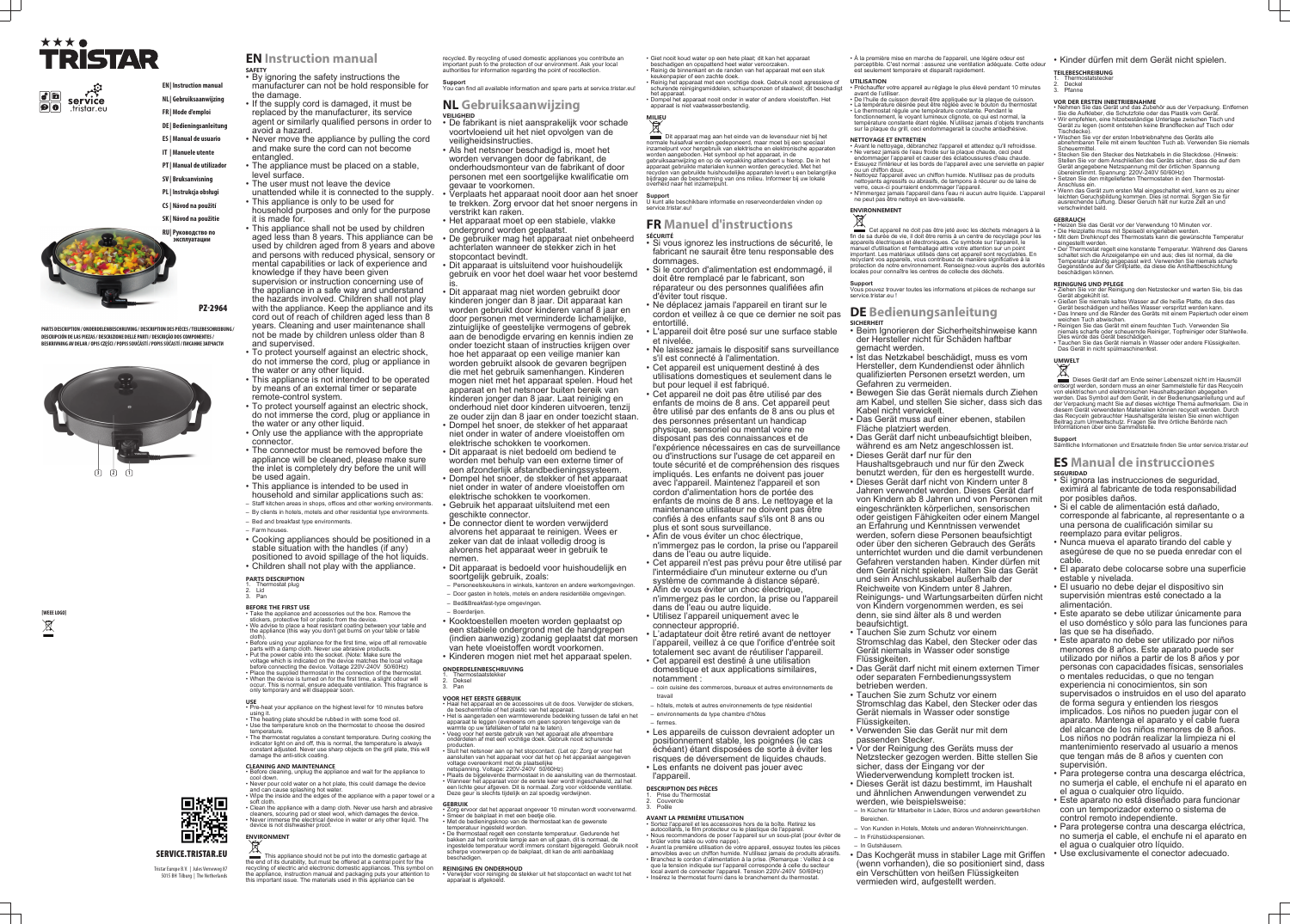# ★★★● TRISTAR

 $|\phi|$  defined service  $\vert \mathbf{O} \vert \vert \mathbf{O} \vert$ .tristar.eu **EN | Instruction manual**

## **NL | Gebruiksaanwijzing FR | Mode d'emploi**

**DE | Bedieningsanleitung**

- **ES | Manual de usuario**
- 
- **IT | Manuele utente**
- **PT | Manual de utilizador**
- **SV | Bruksanvisning**
- **PL | Instrukcja obsługi**
- **CS | Návod na použití**
- **SK | Návod na použitie**

**RU | Руководство по эксплуатации**

PZ-2964





**PARTS DESCRIPTION / ONDERDELENBESCHRIJVING / DESCRIPTION DES PIÈCES / TEILEBESCHREIBUNG / DESCRIPCIÓN DE LAS PIEZAS / DESCRIZIONE DELLE PARTI / DESCRIÇÃO DOS COMPONENTES / BESKRIVNING AV DELAR / OPIS CZĘŚCI / POPIS SOUČÁSTÍ / POPIS SÚČASTÍ / ПИСАНИЕ ЗАПЧАСТИ**

## SERVICE.TRISTAR.EU

驧

回次码

Tristar Europe B.V. | Jules Verneweg 87 5015 BH Tilburg | The Netherlands

# **EN Instruction manual**

- **SAFETY** By ignoring the safety instructions the manufacturer can not be hold responsible for
- the damage. • If the supply cord is damaged, it must be replaced by the manufacturer, its service agent or similarly qualified persons in order to avoid a hazard.
- Never move the appliance by pulling the cord and make sure the cord can not become entangled.
- The appliance must be placed on a stable, level surface.
- The user must not leave the device
- unattended while it is connected to the supply. • This appliance is only to be used for
- household purposes and only for the purpose it is made for.
- This appliance shall not be used by children aged less than 8 years. This appliance can be used by children aged from 8 years and above and persons with reduced physical, sensory or mental capabilities or lack of experience and knowledge if they have been given supervision or instruction concerning use of the appliance in a safe way and understand the hazards involved. Children shall not play with the appliance. Keep the appliance and its cord out of reach of children aged less than 8 years. Cleaning and user maintenance shall not be made by children unless older than 8 and supervised.
- To protect yourself against an electric shock, do not immerse the cord, plug or appliance in the water or any other liquid.
- This appliance is not intended to be operated by means of an external timer or separate remote-control system.
- To protect yourself against an electric shock, do not immerse the cord, plug or appliance in the water or any other liquid.
- Only use the appliance with the appropriate connector.
- The connector must be removed before the appliance will be cleaned, please make sure the inlet is completely dry before the unit will be used again.
- This appliance is intended to be used in household and similar applications such as:
- Staff kitchen areas in shops, offices and other working environments. – By clients in hotels, motels and other residential type environments.
- Bed and breakfast type environments.
- Farm houses.
- Cooking appliances should be positioned in a stable situation with the handles (if any) positioned to avoid spillage of the hot liquids.
- Children shall not play with the appliance.
- 
- **PARTS DESCRIPTION** 1. Thermostat plug

2. Lid 3. Pan

- **BEFORE THE FIRST USE**
- Take the appliance and accessories out the box. Remove the stickers, protective foil or plastic from the device.
- We advise to place a heat resistant coating between your table and the appliance (this way you don't get burns on your table or table
- cloth). Before using your appliance for the first time, wipe off all removable parts with a damp cloth. Never use abrasive products.
- Put the power cable into the socket. (Note: Make sure the voltage which is indicated on the device matches the local voltage before connecting the device. Voltage 220V-240V 50/60Hz)
- Place the supplied thermostat in the connection of the thermostat. • When the device is turned on for the first time, a slight odour will occur. This is normal, ensure adequate ventilation. This fragrance is only temporary and will disappear soon.
- **USE** Pre-heat your appliance on the highest level for 10 minutes before using it.
- The heating plate should be rubbed in with some food oil. • Use the temperature knob on the thermostat to choose the desired
- temperature. • The thermostat regulates a constant temperature. During cooking the indicator light on and off, this is normal, the temperature is always constant adjusted. Never use sharp objects on the grill plate, this will damage the anti-stick coating.

### **CLEANING AND MAINTENANCE**

- Zorg ervoor dat het apparaat ongeveer 10 minuten wordt voorverwarmd. • Smeer de bakplaat in met een beetje olie • Met de bedieningsknop van de thermostaat kan de gewenste
- temperatuur ingesteld worden. • De thermostaat regelt een constante temperatuur. Gedurende het
- bakken zal het controle lampje aan en uit gaan, dit is normaal, de ingestelde temperatuur wordt immers constant bijgeregeld. Gebruik nooit scherpe voorwerpen op de bakplaat, dit kan de anti aanbaklaag beschadigen
- Before cleaning, unplug the appliance and wait for the appliance to cool down.
- Never pour cold water on a hot plate, this could damage the device and can cause splashing hot water. • Wipe the inside and the edges of the appliance with a paper towel or a
- soft cloth. • Clean the appliance with a damp cloth. Never use harsh and abrasive cleaners, scouring pad or steel wool, which damages the device.
- Never immerse the electrical device in water or any other liquid. The device is not dishwasher proof.

## **ENVIRONMENT**

This appliance should not be put into the domestic garbage at the end of its durability, but must be offered at a central point for the recycling of electric and electronic domestic appliances. This symbol on the appliance, instruction manual and packaging puts your attention to this important issue. The materials used in this appliance can be

recycled. By recycling of used domestic appliances you contribute an important push to the protection of our environment. Ask your local authorities for information regarding the point of recollection.

> **MILIEU** Dit apparaat mag aan het einde van de levensduur niet bij het normale huisafval worden gedeponeerd, maar moet bij een speciaal inzamelpunt voor hergebruik van elektrische en elektronische apparaten worden aangeboden. Het symbool op het apparaat, in de gebruiksaanwijzing en op de verpakking attendeert u hierop. De in het apparaat gebruikte materialen kunnen worden gerecycled. Met het recyclen van gebruikte huishoudelijke apparaten levert u een belangrijke bijdrage aan de bescherming van ons milieu. Informeer bij uw lokale overheid naar het inzamelpunt.

**Support** You can find all available information and spare parts at service.tristar.eu!

## **NL Gebruiksaanwijzing**

1. Prise du Thermostat 2. Couvercle 3. Poêle **AVANT LA PREMIÈRE UTILISATION** • Sortez l'appareil et les accessoires hors de la boîte. Retirez les autocollants, le film protecteur ou le plastique de l'appareil. • Nous recommandons de poser l'appareil sur un sous-plat (pour éviter de brûler votre table ou votre nappe). • Avant la première utilisation de votre appareil, essuyez toutes les pièces amovibles avec un chiffon humide. N'utilisez jamais de produits abrasifs. • Branchez le cordon d'alimentation à la prise. (Remarque : Veillez à ce que la tension indiquée sur l'appareil corresponde à celle du secteur local avant de connecter l'appareil. Tension 220V-240V 50/60Hz) • Insérez le thermostat fourni dans le branchement du thermostat

- **VEILIGHEID**
- De fabrikant is niet aansprakelijk voor schade voortvloeiend uit het niet opvolgen van de veiligheidsinstructies.
- Als het netsnoer beschadigd is, moet het worden vervangen door de fabrikant, de onderhoudsmonteur van de fabrikant of door personen met een soortgelijke kwalificatie om gevaar te voorkomen.
- Verplaats het apparaat nooit door aan het snoer te trekken. Zorg ervoor dat het snoer nergens in verstrikt kan raken.
- Het apparaat moet op een stabiele, vlakke
- ondergrond worden geplaatst. • De gebruiker mag het apparaat niet onbeheerd achterlaten wanneer de stekker zich in het
- stopcontact bevindt. • Dit apparaat is uitsluitend voor huishoudelijk gebruik en voor het doel waar het voor bestemd is.
- Dit apparaat mag niet worden gebruikt door kinderen jonger dan 8 jaar. Dit apparaat kan worden gebruikt door kinderen vanaf 8 jaar en door personen met verminderde lichamelijke, zintuiglijke of geestelijke vermogens of gebrek aan de benodigde ervaring en kennis indien ze onder toezicht staan of instructies krijgen over hoe het apparaat op een veilige manier kan worden gebruikt alsook de gevaren begrijpen die met het gebruik samenhangen. Kinderen mogen niet met het apparaat spelen. Houd het apparaat en het netsnoer buiten bereik van kinderen jonger dan 8 jaar. Laat reiniging en onderhoud niet door kinderen uitvoeren, tenzij ze ouder zijn dan 8 jaar en onder toezicht staan.
- Dompel het snoer, de stekker of het apparaat niet onder in water of andere vloeistoffen om elektrische schokken te voorkomen.
- Dit apparaat is niet bedoeld om bediend te worden met behulp van een externe timer of een afzonderlijk afstandbedieningssysteem.
- Dompel het snoer, de stekker of het apparaat niet onder in water of andere vloeistoffen om elektrische schokken te voorkomen.
- Gebruik het apparaat uitsluitend met een geschikte connector.
- De connector dient te worden verwijderd alvorens het apparaat te reinigen. Wees er zeker van dat de inlaat volledig droog is alvorens het apparaat weer in gebruik te nemen.
- Dit apparaat is bedoeld voor huishoudelijk en soortgelijk gebruik, zoals:
- Personeelskeukens in winkels, kantoren en andere werkomgevingen.
- Door gasten in hotels, motels en andere residentiële omgevingen.
- Bed&Breakfast-type omgevingen. – Boerderijen.
- Kooktoestellen moeten worden geplaatst op een stabiele ondergrond met de handgrepen (indien aanwezig) zodanig geplaatst dat morsen van hete vloeistoffen wordt voorkomen. • Kinderen mogen niet met het apparaat spelen.
- Préchauffer votre appareil au réglage le plus élevé pendant 10 minutes avant de l'utiliser.
- De l'huile de cuisson devrait être appliquée sur la plaque de cuisson. • La température désirée peut être réglée avec le bouton du thermosta • Le thermostat régule une température constante. Pendant le fonctionnement, le voyant lumineux clignote, ce qui est normal, la température constante étant réglée. N'utilisez jamais d'objets tranchants sur la plaque du grill, ceci endommagerait la couche antiadhésive.

Vous pouvez trouver toutes les informations et pièces de rechange sur service.tristar.eu

## **ONDERDELENBESCHRIJVING**

1. Thermostaatstekker 2. Deksel

## 3. Pan

### **VOOR HET EERSTE GEBRUIK**

- Haal het apparaat en de accessoires uit de doos. Verwijder de stickers, de beschermfolie of het plastic van het apparaat. • Het is aangeraden een warmtewerende bedekking tussen de tafel en het
- apparaat te leggen (eveneens om geen sporen tengevolge van de warmte op uw tafellaken of tafel na te laten). • Veeg voor het eerste gebruik van het apparaat alle afneembare onderdelen af met een vochtige doek. Gebruik nooit schurende
- producten. • Sluit het netsnoer aan op het stopcontact. (Let op: Zorg er voor het aansluiten van het apparaat voor dat het op het apparaat aangegeven voltage overeenkomt met de plaatselijke
- netspanning. Voltage: 220V-240V 50/60Hz) • Plaats de bijgeleverde thermostaat in de aansluiting van de thermostaat. • Wanneer het apparaat voor de eerste keer wordt ingeschakeld, zal het
- een lichte geur afgeven. Dit is normaal. Zorg voor voldoende ventilatie. Deze geur is slechts tijdelijk en zal spoedig verdwijnen.

### **GEBRUIK**

## **REINIGING EN ONDERHOUD**

• Verwijder voor reiniging de stekker uit het stopcontact en wacht tot het apparaat is afgekoeld.

• Giet nooit koud water op een hete plaat; dit kan het apparaat beschadigen en opspattend heet water veroorzaken.

• Reinig de binnenkant en de randen van het apparaat met een stuk keukenpapier of een zachte doek. • Reinig het apparaat met een vochtige doek. Gebruik nooit agressieve of

schurende reinigingsmiddelen, schuursponzen of staalwol; dit beschadigt het apparaat. • Dompel het apparaat nooit onder in water of andere vloeistoffen. Het

- Ziehen Sie vor der Reinigung den Netzstecker und warten Sie, bis das Gerät abgekühlt ist.
- Gießen Sie niemals kaltes Wasser auf die heiße Platte, da dies das Gerät beschädigen und heißes Wasser verspritzt werden kann. • Das Innere und die Ränder des Geräts mit einem Papiertuch oder einem weichen Tuch abwischen.
- Reinigen Sie das Gerät mit einem feuchten Tuch. Verwenden Sie niemals scharfe oder scheuernde Reiniger, Topfreiniger oder Stahlwolle.
- Dies würde das Gerät beschädigen. • Tauchen Sie das Gerät niemals in Wasser oder andere Flüssigkeiten. Das Gerät in nicht spülmaschinenfest.

apparaat is niet vaatwasserbestendig.

Dieses Gerät darf am Ende seiner Lebenszeit nicht im Hausmüll entsorgt werden, sondern muss an einer Sammelstelle für das Recyceln von elektrischen und elektronischen Haushaltsgeräten abgegeben werden. Das Symbol auf dem Gerät, in der Bedienungsanleitung und auf der Verpackung macht Sie auf dieses wichtige Thema aufmerksam. Die in diesem Gerät verwendeten Materialien können recycelt werden. Durch das Recyceln gebrauchter Haushaltsgeräte leisten Sie einen wichtigen Beitrag zum Umweltschutz. Fragen Sie Ihre örtliche Behörde nach Informationen über eine Sammelstelle.

### **Support** U kunt alle beschikbare informatie en reserveonderdelen vinden op service.tristar.eu!

## **FR Manuel d'instructions**

- **SÉCURITÉ** • Si vous ignorez les instructions de sécurité, le fabricant ne saurait être tenu responsable des dommages.
- Si le cordon d'alimentation est endommagé, il doit être remplacé par le fabricant, son réparateur ou des personnes qualifiées afin
- d'éviter tout risque. • Ne déplacez jamais l'appareil en tirant sur le cordon et veillez à ce que ce dernier ne soit pas
- entortillé. • L'appareil doit être posé sur une surface stable
- et nivelée. • Ne laissez jamais le dispositif sans surveillance s'il est connecté à l'alimentation.
- Cet appareil est uniquement destiné à des utilisations domestiques et seulement dans le but pour lequel il est fabriqué.
- Cet appareil ne doit pas être utilisé par des enfants de moins de 8 ans. Cet appareil peut être utilisé par des enfants de 8 ans ou plus et des personnes présentant un handicap physique, sensoriel ou mental voire ne
- disposant pas des connaissances et de l'expérience nécessaires en cas de surveillance ou d'instructions sur l'usage de cet appareil en toute sécurité et de compréhension des risques impliqués. Les enfants ne doivent pas jouer avec l'appareil. Maintenez l'appareil et son cordon d'alimentation hors de portée des enfants de moins de 8 ans. Le nettoyage et la maintenance utilisateur ne doivent pas être confiés à des enfants sauf s'ils ont 8 ans ou
- plus et sont sous surveillance.
- Afin de vous éviter un choc électrique, n'immergez pas le cordon, la prise ou l'appareil dans de l'eau ou autre liquide.
- Cet appareil n'est pas prévu pour être utilisé par l'intermédiaire d'un minuteur externe ou d'un système de commande à distance séparé. • Afin de vous éviter un choc électrique,
- n'immergez pas le cordon, la prise ou l'appareil dans de l'eau ou autre liquide.
- Utilisez l'appareil uniquement avec le connecteur approprié.
- L'adaptateur doit être retiré avant de nettoyer l'appareil, veillez à ce que l'orifice d'entrée soit totalement sec avant de réutiliser l'appareil. • Cet appareil est destiné à une utilisation domestique et aux applications similaires, notamment :
- coin cuisine des commerces, bureaux et autres environnements de travail
- hôtels, motels et autres environnements de type résidentiel – environnements de type chambre d'hôtes

## – fermes.

- Les appareils de cuisson devraient adopter un positionnement stable, les poignées (le cas échéant) étant disposées de sorte à éviter les risques de déversement de liquides chauds. • Les enfants ne doivent pas jouer avec
- **DESCRIPTION DES PIÈCES**



• À la première mise en marche de l'appareil, une légère odeur est perceptible. C'est normal : assurez une ventilation adéquate. Cette odeur est seulement temporaire et disparaît rapidement.

## **UTILISATION**

## **NETTOYAGE ET ENTRETIEN**

- Avant le nettoyage, débranchez l'appareil et attendez qu'il refroidisse. • Ne versez jamais de l'eau froide sur la plaque chaude, ceci peut endommager l'appareil et causer des éclaboussures d'eau chaude.
- Essuyez l'intérieur et les bords de l'appareil avec une serviette en papier ou un chiffon doux.
- Nettoyez l'appareil avec un chiffon humide. N'utilisez pas de produits nettoyants agressifs ou abrasifs, de tampons à récurer ou de laine de verre, ceux-ci pourraient endommager l'appareil.
- N'immergez jamais l'appareil dans l'eau ni aucun autre liquide. L'appareil ne peut pas être nettoyé en lave-vaisselle.

# **ENVIRONNEMENT**

Cet appareil ne doit pas être jeté avec les déchets ménagers à la fin de sa durée de vie, il doit être remis à un centre de recyclage pour les appareils électriques et électroniques. Ce symbole sur l'appareil, le manuel d'utilisation et l'emballage attire votre attention sur un point important. Les matériaux utilisés dans cet appareil sont recyclables. En recyclant vos appareils, vous contribuez de manière significative à la protection de notre environnement. Renseignez-vous auprès des autorités locales pour connaître les centres de collecte des déchets.

## **Support**

### **DE Bedienungsanleitung SICHERHEIT**

- Beim Ignorieren der Sicherheitshinweise kann der Hersteller nicht für Schäden haftbar gemacht werden.
- Ist das Netzkabel beschädigt, muss es vom Hersteller, dem Kundendienst oder ähnlich qualifizierten Personen ersetzt werden, um Gefahren zu vermeiden.
- Bewegen Sie das Gerät niemals durch Ziehen am Kabel, und stellen Sie sicher, dass sich das Kabel nicht verwickelt.
- Das Gerät muss auf einer ebenen, stabilen Fläche platziert werden.
- Das Gerät darf nicht unbeaufsichtigt bleiben, während es am Netz angeschlossen ist.
- Dieses Gerät darf nur für den Haushaltsgebrauch und nur für den Zweck
- benutzt werden, für den es hergestellt wurde. • Dieses Gerät darf nicht von Kindern unter 8 Jahren verwendet werden. Dieses Gerät darf von Kindern ab 8 Jahren und von Personen mit eingeschränkten körperlichen, sensorischen oder geistigen Fähigkeiten oder einem Mangel an Erfahrung und Kenntnissen verwendet werden, sofern diese Personen beaufsichtigt oder über den sicheren Gebrauch des Geräts unterrichtet wurden und die damit verbundenen Gefahren verstanden haben. Kinder dürfen mit dem Gerät nicht spielen. Halten Sie das Gerät und sein Anschlusskabel außerhalb der Reichweite von Kindern unter 8 Jahren. Reinigungs- und Wartungsarbeiten dürfen nicht von Kindern vorgenommen werden, es sei
- denn, sie sind älter als 8 und werden beaufsichtigt. • Tauchen Sie zum Schutz vor einem
- Stromschlag das Kabel, den Stecker oder das Gerät niemals in Wasser oder sonstige Flüssigkeiten.
- Das Gerät darf nicht mit einem externen Timer oder separaten Fernbedienungssystem betrieben werden.
- Tauchen Sie zum Schutz vor einem Stromschlag das Kabel, den Stecker oder das Gerät niemals in Wasser oder sonstige Flüssigkeiten.
- Verwenden Sie das Gerät nur mit dem passenden Stecker.
- Vor der Reinigung des Geräts muss der Netzstecker gezogen werden. Bitte stellen Sie sicher, dass der Eingang vor der
- Wiederverwendung komplett trocken ist. • Dieses Gerät ist dazu bestimmt, im Haushalt und ähnlichen Anwendungen verwendet zu werden, wie beispielsweise:
- In Küchen für Mitarbeiter in Läden, Büros und anderen gewerblichen Bereichen.
- Von Kunden in Hotels, Motels und anderen Wohneinrichtungen.
- In Frühstückspensionen. – In Gutshäusern.
- Das Kochgerät muss in stabiler Lage mit Griffen (wenn vorhanden), die so positioniert sind, dass ein Verschütten von heißen Flüssigkeiten vermieden wird, aufgestellt werden.

## • Kinder dürfen mit dem Gerät nicht spielen.

- **TEILEBESCHREIBUNG**
- **Thermostatstecker Deckel**
- 3. Pfanne

## **VOR DER ERSTEN INBETRIEBNAHME**

- Nehmen Sie das Gerät und das Zubehör aus der Verpackung. Entfernen Sie die Aufkleber, die Schutzfolie oder das Plastik vom Gerät. • Wir empfehlen, eine hitzebeständige Unterlage zwischen Tisch und Gerät zu legen (somit entstehen keine Brandflecken auf Tisch oder Tischdecke).
- Wischen Sie vor der ersten Inbetriebnahme des Geräts alle abnehmbaren Teile mit einem feuchten Tuch ab. Verwenden Sie niemals **Scheuermitte**
- Stecken Sie den Stecker des Netzkabels in die Steckdose. (Hinweis: Stellen Sie vor dem Anschließen des Geräts sicher, dass die auf dem Gerät angegebene Netzspannung mit der örtlichen Spannung nmt. Spannung: 220V-240V 50/60Hz) • Setzen Sie den mitgelieferten Thermostaten in den Thermostat-
- Anschluss ein. • Wenn das Gerät zum ersten Mal eingeschaltet wird, kann es zu einer leichten Geruchsbildung kommen. Dies ist normal. Sorgen Sie für ausreichende Lüftung. Dieser Geruch hält nur kurze Zeit an und verschwindet bald.

## **GEBRAUCH**

- Heizen Sie das Gerät vor der Verwendung 10 Minuten vor. Die Heizplatte muss mit Speiseöl eingerieben werden.
- Mit dem Drehknopf des Thermostats kann die gewünschte Temperatur eingestellt werden.
- Der Thermostat regelt eine konstante Temperatur. Während des Garens schaltet sich die Anzeigelampe ein und aus; dies ist normal, da die Temperatur ständig angepasst wird. Verwenden Sie niemals scharfe Gegenstände auf der Grillplatte, da diese die Antihaftbeschichtung beschädigen können.

## **REINIGUNG UND PFLEGE**

## **UMWELT**

**Support** Sämtliche Informationen und Ersatzteile finden Sie unter service.tristar.eu!

## **ES Manual de instrucciones SEGURIDAD**

- Si ignora las instrucciones de seguridad, eximirá al fabricante de toda responsabilidad por posibles daños.
- Si el cable de alimentación está dañado, corresponde al fabricante, al representante o a una persona de cualificación similar su reemplazo para evitar peligros.
- Nunca mueva el aparato tirando del cable y asegúrese de que no se pueda enredar con el cable.
- El aparato debe colocarse sobre una superficie estable y nivelada.
- El usuario no debe dejar el dispositivo sin supervisión mientras esté conectado a la alimentación.
- Este aparato se debe utilizar únicamente para el uso doméstico y sólo para las funciones para las que se ha diseñado.
- Este aparato no debe ser utilizado por niños menores de 8 años. Este aparato puede ser utilizado por niños a partir de los 8 años y por personas con capacidades físicas, sensoriales o mentales reducidas, o que no tengan experiencia ni conocimientos, sin son supervisados o instruidos en el uso del aparato de forma segura y entienden los riesgos implicados. Los niños no pueden jugar con el aparato. Mantenga el aparato y el cable fuera del alcance de los niños menores de 8 años. Los niños no podrán realizar la limpieza ni el mantenimiento reservado al usuario a menos que tengan más de 8 años y cuenten con supervisión.
- Para protegerse contra una descarga eléctrica, no sumerja el cable, el enchufe ni el aparato en el agua o cualquier otro líquido.
- Este aparato no está diseñado para funcionar con un temporizador externo o sistema de control remoto independiente.
- Para protegerse contra una descarga eléctrica, no sumerja el cable, el enchufe ni el aparato en el agua o cualquier otro líquido.
- Use exclusivamente el conector adecuado.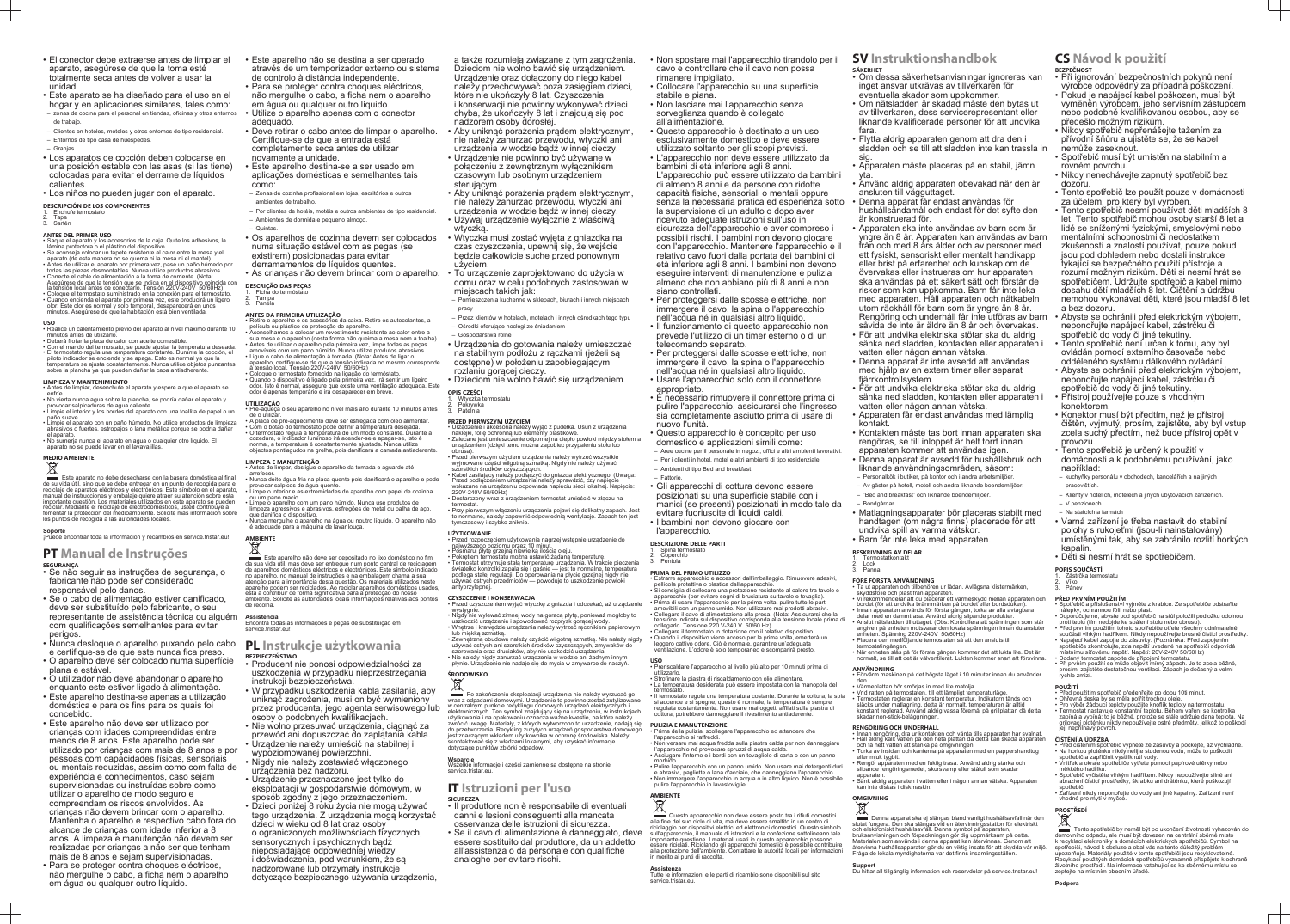- El conector debe extraerse antes de limpiar el aparato, asegúrese de que la toma esté totalmente seca antes de volver a usar la unidad.
- Este aparato se ha diseñado para el uso en el hogar y en aplicaciones similares, tales como: – zonas de cocina para el personal en tiendas, oficinas y otros entornos de trabajo.
- Clientes en hoteles, moteles y otros entornos de tipo residencial.
- Entornos de tipo casa de huéspedes.
- Granjas.
- Los aparatos de cocción deben colocarse en una posición estable con las asas (si las tiene) colocadas para evitar el derrame de líquidos calientes.
- Los niños no pueden jugar con el aparato.
- **DESCRIPCIÓN DE LOS COMPONENTES Enchufe termost**
- 2. Tapa Sartén

### **ANTES DEL PRIMER USO**

- Saque el aparato y los accesorios de la caja. Quite los adhesivos, la lámina protectora o el plástico del dispositivo.
- Se aconseja colocar un tapete resistente al calor entre la mesa y el aparato (de esta manera no se quema ni la mesa ni el mantel).
- Antes de utilizar el aparato por primera vez, pase un paño húmedo por todas las piezas desmontables. Nunca utilice productos abrasivos. • Conecte el cable de alimentación a la toma de corriente. (Nota: Asegúrese de que la tensión que se indica en el dispositivo coincida con
- la tensión local antes de conectarlo. Tensión 220V-240V 50/60Hz) • Coloque el termostato suministrado en la conexión para el termostato. • Cuando encienda el aparato por primera vez, este producirá un ligero
- olor. Este olor es normal y solo temporal, desaparecerá en unos minutos. Asegúrese de que la habitación está bien ventilada.

Este aparato no debe desecharse con la basura doméstica al final de su vida útil, sino que se debe entregar en un punto de recogida para el reciclaje de aparatos eléctricos y electrónicos. Este símbolo en el aparato, manual de instrucciones y embalaje quiere atraer su atención sobre esta importante cuestión. Los materiales utilizados en este aparato se pueden reciclar. Mediante el reciclaje de electrodomésticos, usted contribuye a fomentar la protección del medioambiente. Solicite más información sobre los puntos de recogida a las autoridades locales.

- **USO** Realice un calentamiento previo del aparato al nivel máximo durante 10 minutos antes de utilizarlo.
- Deberá frotar la placa de calor con aceite comestible. • Con el mando del termostato, se puede ajustar la temperatura deseada. • El termostato regula una temperatura constante. Durante la cocción, el piloto indicador se enciende y se apaga. Esto es normal ya que la
- temperatura se ajusta constantemente. Nunca utilice objetos punzantes sobre la plancha ya que pueden dañar la capa antiadherente
- **LIMPIEZA Y MANTENIMIENTO** • Antes de limpiar, desenchufe el aparato y espere a que el aparato se
- enfríe. • No vierta nunca agua sobre la plancha, se podría dañar el aparato y
- provocar salpicaduras de agua caliente. • Limpie el interior y los bordes del aparato con una toallita de papel o un paño suave.
- Limpie el aparato con un paño húmedo. No utilice productos de limpieza abrasivos o fuertes, estropajos o lana metálica porque se podría dañar el aparato.
- No sumerja nunca el aparato en agua o cualquier otro líquido. El aparato no se puede lavar en el lavavajillas.

# **MEDIO AMBIENTE**

### **Soporte**

¡Puede encontrar toda la información y recambios en service.tristar.eu!

## **PT Manual de Instruções**

### **SEGURANÇA**

- Se não seguir as instruções de segurança, o fabricante não pode ser considerado responsável pelo danos.
- Se o cabo de alimentação estiver danificado, deve ser substituído pelo fabricante, o seu representante de assistência técnica ou alguém com qualificações semelhantes para evitar perigos.
- Nunca desloque o aparelho puxando pelo cabo **PL Instrukcje użytkowania** e certifique-se de que este nunca fica preso.
- O aparelho deve ser colocado numa superfície plana e estável.
- O utilizador não deve abandonar o aparelho enquanto este estiver ligado à alimentação.
- Este aparelho destina-se apenas a utilização doméstica e para os fins para os quais foi concebido.
- Este aparelho não deve ser utilizado por crianças com idades compreendidas entre menos de 8 anos. Este aparelho pode ser utilizado por crianças com mais de 8 anos e por pessoas com capacidades físicas, sensoriais ou mentais reduzidas, assim como com falta de experiência e conhecimentos, caso sejam supervisionadas ou instruídas sobre como utilizar o aparelho de modo seguro e compreendam os riscos envolvidos. As crianças não devem brincar com o aparelho. Mantenha o aparelho e respectivo cabo fora do alcance de crianças com idade inferior a 8 anos. A limpeza e manutenção não devem ser realizadas por crianças a não ser que tenham
- mais de 8 anos e sejam supervisionadas. • Para se proteger contra choques eléctricos, não mergulhe o cabo, a ficha nem o aparelho em água ou qualquer outro líquido.

Este aparelho não deve ser depositado no lixo doméstico no fim da sua vida útil, mas deve ser entregue num ponto central de reciclagem de aparelhos domésticos eléctricos e electrónicos. Este símbolo indicado no aparelho, no manual de instruções e na embalagem chama a sua atenção para a importância desta questão. Os materiais utilizados neste aparelho podem ser reciclados. Ao reciclar aparelhos domésticos usados, está a contribuir de forma significativa para a protecção do nosso ambiente. Solicite às autoridades locais informações relativas aos pontos de recolha.

- Este aparelho não se destina a ser operado através de um temporizador externo ou sistema de controlo à distância independente.
- Para se proteger contra choques eléctricos, não mergulhe o cabo, a ficha nem o aparelho em água ou qualquer outro líquido.
- Utilize o aparelho apenas com o conector adequado.
- Deve retirar o cabo antes de limpar o aparelho. Certifique-se de que a entrada está completamente seca antes de utilizar novamente a unidade.
- Este aparelho destina-se a ser usado em aplicações domésticas e semelhantes tais como:
- Zonas de cozinha profissional em lojas, escritórios e outros ambientes de trabalho.
- Por clientes de hotéis, motéis e outros ambientes de tipo residencial.
- Ambientes de dormida e pequeno almoço. – Quintas.
- Os aparelhos de cozinha devem ser colocados numa situação estável com as pegas (se existirem) posicionadas para evitar derramamentos de líquidos quentes.
- As crianças não devem brincar com o aparelho.

- Pokrywka
- 3. Patelnia

### **DESCRIÇÃO DAS PEÇAS**

- Ficha do termó **Tampa**
- Panela

### **ANTES DA PRIMEIRA UTILIZAÇÃO**

- Retire o aparelho e os acessórios da caixa. Retire os autocolantes, a película ou plástico de protecção do aparelho. • Aconselhamos a colocar um revestimento resistente ao calor entre a
- sua mesa e o aparelho (desta forma não queima a mesa nem a toalha). • Antes de utilizar o aparelho pela primeira vez, limpe todas as peças amovíveis com um pano húmido. Nunca utilize produtos abrasivos.
- Ligue o cabo de alimentação à tomada. (Nota: Antes de ligar o aparelho, certifique-se de que a tensão indicada no mesmo corresponde à tensão local. Tensão 220V-240V 50/60Hz) • Coloque o termóstato fornecido na ligação do termóstato.
- Quando o dispositivo é ligado pela primeira vez, irá sentir um ligeiro odor. Isto é normal, assegure que existe uma ventilação adequada. Este odor é apenas temporário e irá desaparecer em breve. **UTILIZAÇÃO**
- Pré-aqueça o seu aparelho no nível mais alto durante 10 minutos antes de o utilizar.
- A placa de pré-aquecimento deve ser esfregada com óleo alimentar. Com o botão do termóstato pode definir a temperatura desejada. • O termóstato regula a temperatura de um modo constante. Durante a
- cozedura, o indicador luminoso irá acender-se e apagar-se, isto é normal, a temperatura é constantemente ajustada. Nunca utilize objectos pontiagudos na grelha, pois danificará a camada antiaderente. **LIMPEZA E MANUTENÇÃO**
- Antes de limpar, desligue o aparelho da tomada e aguarde até
- arrefecer.
- Nunca deite água fria na placa quente pois danificará o aparelho e pode provocar salpicos de água quente. • Limpe o interior e as extremidades do aparelho com papel de cozinha ou um pano macio.
- Limpe o aparelho com um pano húmido. Nunca use produtos de limpeza agressivos e abrasivos, esfregões de metal ou palha de aço, que danifica o dispositivo.
- Nunca mergulhe o aparelho na água ou noutro líquido. O aparelho não é adequado para a máquina de lavar louça.
- Collocare l'apparecchio su una superficie stabile e piana.
- Non lasciare mai l'apparecchio senza sorveglianza quando è collegato
- all'alimentazione. • Questo apparecchio è destinato a un uso esclusivamente domestico e deve essere utilizzato soltanto per gli scopi previsti. • L'apparecchio non deve essere utilizzato da
- bambini di età inferiore agli 8 anni. L'apparecchio può essere utilizzato da bambini di almeno 8 anni e da persone con ridotte capacità fisiche, sensoriali o mentali oppure senza la necessaria pratica ed esperienza sotto
- la supervisione di un adulto o dopo aver ricevuto adeguate istruzioni sull'uso in sicurezza dell'apparecchio e aver compreso i
- possibili rischi. I bambini non devono giocare con l'apparecchio. Mantenere l'apparecchio e il relativo cavo fuori dalla portata dei bambini di età inferiore agli 8 anni. I bambini non devono eseguire interventi di manutenzione e pulizia almeno che non abbiano più di 8 anni e non siano controllati.
- Per proteggersi dalle scosse elettriche, non immergere il cavo, la spina o l'apparecchio nell'acqua né in qualsiasi altro liquido. • Il funzionamento di questo apparecchio non
- prevede l'utilizzo di un timer esterno o di un telecomando separato. • Per proteggersi dalle scosse elettriche, non
- immergere il cavo, la spina o l'apparecchio nell'acqua né in qualsiasi altro liquido. • Usare l'apparecchio solo con il connettore appropriato.
- È necessario rimuovere il connettore prima di pulire l'apparecchio, assicurarsi che l'ingresso sia completamente asciutto prima di usare di nuovo l'unità.
- Questo apparecchio è concepito per uso domestico e applicazioni simili come:
- Aree cucine per il personale in negozi, uffici e altri ambienti lavorativi. – Per i clienti in hotel, motel e altri ambienti di tipo residenziale. – Ambienti di tipo Bed and breakfast.
- Fattorie.
- Gli apparecchi di cottura devono essere posizionati su una superficie stabile con i manici (se presenti) posizionati in modo tale da evitare fuoriuscite di liquidi caldi. • I bambini non devono giocare con
- l'apparecchio.
- **DESCRIZIONE DELLE PARTI**
- 1. Spina termostato **Coperchio**
- Pentola

# **AMBIENTE**

## **Assistência**

Encontra todas as informações e peças de substituição em service.tristar.eu!

## **BEZPIECZEŃSTWO**

- Producent nie ponosi odpowiedzialności za uszkodzenia w przypadku nieprzestrzegania instrukcji bezpieczeństwa.
- W przypadku uszkodzenia kabla zasilania, aby uniknąć zagrożenia, musi on być wymieniony przez producenta, jego agenta serwisowego lub osoby o podobnych kwalifikacjach.
- Nie wolno przesuwać urządzenia, ciągnąć za przewód ani dopuszczać do zaplątania kabla. • Urządzenie należy umieścić na stabilnej i
- wypoziomowanej powierzchni.
- Nigdy nie należy zostawiać włączonego urządzenia bez nadzoru.
- Urządzenie przeznaczone jest tylko do eksploatacji w gospodarstwie domowym, w
- sposób zgodny z jego przeznaczeniem. • Dzieci poniżej 8 roku życia nie mogą używać tego urządzenia. Z urządzenia mogą korzystać dzieci w wieku od 8 lat oraz osoby o ograniczonych możliwościach fizycznych, sensorycznych i psychicznych bądź nieposiadające odpowiedniej wiedzy i doświadczenia, pod warunkiem, że są nadzorowane lub otrzymały instrukcje dotyczące bezpiecznego używania urządzenia,

Questo apparecchio non deve essere posto tra i rifiuti domestici alla fine del suo ciclo di vita, ma deve essere smaltito in un centro di riciclaggio per dispositivi elettrici ed elettronici domestici. Questo simbolo sull'apparecchio, il manuale di istruzioni e la confezione sottolineano tale importante questione. I materiali usati in questo apparecchio possono essere riciclati. Riciclando gli apparecchi domestici è possibile contribuire alla protezione dell'ambiente. Contattare le autorità locali per informazioni in merito ai punti di raccolta.

a także rozumieją związane z tym zagrożenia. Dzieciom nie wolno bawić się urządzeniem. Urządzenie oraz dołączony do niego kabel należy przechowywać poza zasięgiem dzieci, które nie ukończyły 8 lat. Czyszczenia i konserwacji nie powinny wykonywać dzieci chyba, że ukończyły 8 lat i znajdują się pod

- nadzorem osoby dorosłej. • Aby uniknąć porażenia prądem elektrycznym, nie należy zanurzać przewodu, wtyczki ani urządzenia w wodzie bądź w innej cieczy.
- Urządzenie nie powinno być używane w połączeniu z zewnętrznym wyłącznikiem czasowym lub osobnym urządzeniem sterującym.
- Aby uniknąć porażenia prądem elektrycznym, nie należy zanurzać przewodu, wtyczki ani
- urządzenia w wodzie bądź w innej cieczy. • Używaj urządzenie wyłącznie z właściwą wtyczką.
- Wtyczka musi zostać wyjęta z gniazdka na czas czyszczenia, upewnij się, że wejście będzie całkowicie suche przed ponownym użyciem.
- To urządzenie zaprojektowano do użycia w domu oraz w celu podobnych zastosowań w miejscach takich jak:
- Pomieszczenia kuchenne w sklepach, biurach i innych miejscach
- pracy – Przez klientów w hotelach, motelach i innych ośrodkach tego typu – Ośrodki oferujące noclegi ze śniadaniem
- Gospodarstwa rolne
- Urządzenia do gotowania należy umieszczać na stabilnym podłożu z rączkami (jeżeli są dostępne) w położeniu zapobiegającym rozlaniu gorącej cieczy.
- Dzieciom nie wolno bawić się urządzeniem.

### **Termostatkontak** 2. Lock

#### **OPIS CZĘŚCI** 1. Wtyczka termostatu

### **PRZED PIERWSZYM UŻYCIEM**

- Urządzenie i akcesoria należy wyjąć z pudełka. Usuń z urządzenia naklejki, folię ochronną lub elementy plastikowe. • Zalecane jest umieszczenie odpornej na ciepło powłoki między stołem a urządzeniem (dzięki temu można zapobiec przypaleniu stołu lub
- obrusa). • Przed pierwszym użyciem urządzenia należy wytrzeć wszystkie
- wyjmowane części wilgotną szmatką. Nigdy nie należy używać szorstkich środków czyszczących. • Kabel zasilający należy podłączyć do gniazda elektrycznego. (Uwaga:
- Przed podłączeniem urządzenia należy sprawdzić, czy napięcie wskazane na urządzeniu odpowiada napięciu sieci lokalnej. Napięcie: 220V-240V 50/60Hz) • Dostarczony wraz z urządzeniem termostat umieścić w złączu na
- termostat. • Przy pierwszym włączeniu urządzenia pojawi się delikatny zapach. Jest to normalne, należy zapewnić odpowiednią wentylację. Zapach ten jest
- tymczasowy i szybko zniknie.

Denna apparat ska ej slängas bland vanligt hushållsavfall när den slutat fungera. Den ska slängas vid en återvinningsstation för elektriskt och elektroniskt hushållsavfall. Denna symbol på apparaten, bruksanvisningen och förpackningen gör dig uppmärksam på detta. Materialen som används i denna apparat kan återvinnas. Genom att återvinna hushållsapparater gör du en viktig insats för att skydda vår miljö. Fråga de lokala myndigheterna var det finns insamlingsställen.

### **UŻYTKOWANIE** • Przed rozpoczęciem użytkowania nagrzej wstępnie urządzenie do

antyprzylepne

najwyższego poziomu przez 10 minut. • Posmaruj płytę grzejną niewielką ilością oleju.

• Pokrętłem termostatu można ustawić żądaną temperaturę.

• Termostat utrzymuje stałą temperaturę urządzenia. W trakcie pieczenia światełko kontrolki zapala się i gaśnie — jest to normalne, temperatura podlega stałej regulacji. Do operowania na płycie grzejnej nigdy nie używać ostrych przedmiotów — powoduje to uszkodzenie powłoki

**CZYSZCZENIE I KONSERWACJA**

• Przed czyszczeniem wyjąć wtyczkę z gniazda i odczekać, aż urządzenie

• Nigdy nie wylewać zimnej wody na gorącą płytę, ponieważ mogłoby to uszkodzić urządzenie i spowodować rozprysk gorącej wody. • Wnętrze i krawędzie urządzenia należy wytrzeć ręcznikiem papierowym

lub miękką szmatką.

wystygnie

• Zewnętrzną obudowę należy czyścić wilgotną szmatką. Nie należy nigdy używać ostrych ani szorstkich środków czyszczących, zmywaków do szorowania oraz druciaków, aby nie uszkodzić urządzenia. • Nie należy nigdy zanurzać urządzenia w wodzie ani żadnym innym płynie. Urządzenie nie nadaje się do mycia w zmywarce do naczyń.

Zástrčka termostatu 2. Víko

**ŚRODOWISKO**

Po zakończeniu eksploatacji urządzenia nie należy wyrzucać go wraz z odpadami domowymi. Urządzenie to powinno zostać zutylizowane w centralnym punkcie recyklingu domowych urządzeń elektrycznych i elektronicznych. Ten symbol znajdujący się na urządzeniu, w instrukcjach użytkowania i na opakowaniu oznacza ważne kwestie, na które należy zwrócić uwagę. Materiały, z których wytworzono to urządzenie, nadają się do przetworzenia. Recykling zużytych urządzeń gospodarstwa domowego jest znaczącym wkładem użytkownika w ochronę środowiska. Należy skontaktować się z władzami lokalnymi, aby uzyskać informacje

dotyczące punktów zbiórki odpadów.

**Wsparcie**

Wszelkie informacje i części zamienne są dostępne na stronie

service.tristar.eu.

**IT Istruzioni per l'uso**

**SICUREZZA**

• Il produttore non è responsabile di eventuali danni e lesioni conseguenti alla mancata osservanza delle istruzioni di sicurezza.

• Se il cavo di alimentazione è danneggiato, deve essere sostituito dal produttore, da un addetto all'assistenza o da personale con qualifiche

analoghe per evitare rischi.

• Non spostare mai l'apparecchio tirandolo per il cavo e controllare che il cavo non possa rimanere impigliato.

- **PRIMA DEL PRIMO UTILIZZO**
- Estrarre apparecchio e accessori dall'imballaggio. Rimuovere adesivi, pellicola protettiva o plastica dall'apparecchio. • Si consiglia di collocare una protezione resistente al calore tra tavolo e apparecchio (per evitare segni di bruciatura su tavolo e tovaglia).
- Prima di usare l'apparecchio per la prima volta, pulire tutte le parti amovibili con un panno umido. Non utilizzare mai prodotti abrasivi. • Collegare il cavo di alimentazione alla presa. (Nota: Assicurarsi che la tensione indicata sul dispositivo corrisponda alla tensione locale prima di
- collegarlo. Tensione 220 V-240 V 50/60 Hz) • Collegare il termostato in dotazione con il relativo dispositivo. • Quando il dispositivo viene acceso per la prima volta, emetterà un
- leggero cattivo odore. Ciò è normale, garantire un'adeguata ventilazione. L'odore è solo temporaneo e scomparirà presto.
- Preriscaldare l'apparecchio al livello più alto per 10 minuti prima di utilizzarlo.
- Strofinare la piastra di riscaldamento con olio alimentare. • La temperatura desiderata può essere impostata con la manopola del
- termostato. • Il termostato regola una temperatura costante. Durante la cottura, la spia si accende e si spegne, questo è normale, la temperatura è sempre regolata costantemente. Non usare mai oggetti affilati sulla piastra di cottura, potrebbero danneggiare il rivestimento antiaderente.

**USO**

### **PULIZIA E MANUTENZIONE**

- Prima della pulizia, scollegare l'apparecchio ed attendere che l'apparecchio si raffreddi.
- Non versare mai acqua fredda sulla piastra calda per non danneggiare l'apparecchio né provocare spruzzi di acqua calda. • Asciugare l'interno e i bordi con un tovagliolo di carta o con un panno
- morbido. • Pulire l'apparecchio con un panno umido. Non usare mai detergenti duri e abrasivi, pagliette o lana d'acciaio, che danneggiano l'apparecchio. • Non immergere l'apparecchio in acqua o in altro liquido. Non è possibile pulire l'apparecchio in lavastoviglie.

## **AMBIENTE**

## **Assistenza**

Tutte le informazioni e le parti di ricambio sono disponibili sul sito service.tristar.eu.

## **SV Instruktionshandbok**

- **SÄKERHET** • Om dessa säkerhetsanvisningar ignoreras kan inget ansvar utkrävas av tillverkaren för
- eventuella skador som uppkommer. • Om nätsladden är skadad måste den bytas ut av tillverkaren, dess servicerepresentant eller liknande kvalificerade personer för att undvika fara.
- Flytta aldrig apparaten genom att dra den i sladden och se till att sladden inte kan trassla in sig.
- Apparaten måste placeras på en stabil, jämn yta.
- Använd aldrig apparaten obevakad när den är ansluten till vägguttaget.
- Denna apparat får endast användas för hushållsändamål och endast för det syfte den är konstruerad för.
- Apparaten ska inte användas av barn som är yngre än 8 år. Apparaten kan användas av barn från och med 8 års ålder och av personer med ett fysiskt, sensoriskt eller mentalt handikapp eller brist på erfarenhet och kunskap om de övervakas eller instrueras om hur apparaten ska användas på ett säkert sätt och förstår de risker som kan uppkomma. Barn får inte leka med apparaten. Håll apparaten och nätkabeln utom räckhåll för barn som är yngre än 8 år. Rengöring och underhåll får inte utföras av barn såvida de inte är äldre än 8 år och övervakas.
- För att undvika elektriska stötar ska du aldrig sänka ned sladden, kontakten eller apparaten i vatten eller någon annan vätska.
- Denna apparat är inte avsedd att användas med hjälp av en extern timer eller separat fjärrkontrollsystem.
- För att undvika elektriska stötar ska du aldrig sänka ned sladden, kontakten eller apparaten i vatten eller någon annan vätska.
- Apparaten får endast användas med lämplig kontakt.
- Kontakten måste tas bort innan apparaten ska rengöras, se till inloppet är helt torrt innan apparaten kommer att användas igen.
- Denna apparat är avsedd för hushållsbruk och liknande användningsområden, såsom:
- Personalkök i butiker, på kontor och i andra arbetsmiljöer.
- Av gäster på hotell, motell och andra liknande boendemiljöer.
- "Bed and breakfast" och liknande boendemiljöer.

## – Bondgårdar.

- Matlagningsapparater bör placeras stabilt med handtagen (om några finns) placerade för att undvika spill av varma vätskor.
- Barn får inte leka med apparaten.
- **BESKRIVNING AV DELAR**

### 3. Panna **FÖRE FÖRSTA ANVÄNDNING**

- Ta ut apparaten och tillbehören ur lådan. Avlägsna klistermärken, skyddsfolie och plast från apparaten.
- Vi rekommenderar att du placerar ett värmeskydd mellan apparaten och bordet (för att undvika brännmärken på bordet eller bordsduken).
- Innan apparaten används för första gången, torka av alla avtagbara delar med en dammtrasa. Använd aldrig slipande produkter. • Anslut nätsladden till uttaget. (Obs: Kontrollera att spänningen som står
- angiven på enheten motsvarar den lokala spänningen innan du ansluter enheten. Spänning 220V-240V 50/60Hz)
- Placera den medföljande termostaten så att den ansluts till termostatingången.
- När enheten slås på för första gången kommer det att lukta lite. Det är normalt, se till att det är välventilerat. Lukten kommer snart att försvinna.
- **ANVÄNDNING** • Förvärm maskinen på det högsta läget i 10 minuter innan du använder
- den. Värmeplattan bör smörjas in med lite matolja.
- Vrid ratten på termostaten, till ett lämpligt temperaturläge.
- Termostaten reglerar en konstant temperatur. Indikatorn tänds och släcks under matlagning, detta är normalt, temperaturen är alltid konstant reglerad. Använd aldrig vassa föremål på grillplattan då detta skadar non-stick-beläggningen.

- **RENGÖRING OCH UNDERHÅLL** Innan rengöring, dra ur kontakten och vänta tills apparaten har svalnat. • Häll aldrig kallt vatten på den heta plattan då detta kan skada apparaten och få hett vatten att stänka på omgivningen.
- Torka av insidan och kanterna på apparaten med en pappershandtug eller mjuk tygbit.
- Rengör apparaten med en fuktig trasa. Använd aldrig starka och slipande rengöringsmedel, skursvamp eller stålull som skadar
- apparaten. • Sänk aldrig apparaten i vatten eller i någon annan vätska. Apparaten kan inte diskas i diskmaskin.

## **OMGIVNING**

**Support** Du hittar all tillgänglig information och reservdelar på service.tristar.eu!

## **CS Návod k použití BEZPEČNOST**

- Při ignorování bezpečnostních pokynů není výrobce odpovědný za případná poškození. • Pokud je napájecí kabel poškozen, musí být
- vyměněn výrobcem, jeho servisním zástupcem nebo podobně kvalifikovanou osobou, aby se předešlo možným rizikům.
- Nikdy spotřebič nepřenášejte tažením za přívodní šňůru a ujistěte se, že se kabel nemůže zaseknout.
- Spotřebič musí být umístěn na stabilním a rovném povrchu.
- Nikdy nenechávejte zapnutý spotřebič bez dozoru.
- Tento spotřebič lze použít pouze v domácnosti za účelem, pro který byl vyroben.
- Tento spotřebič nesmí používat děti mladších 8 let. Tento spotřebič mohou osoby starší 8 let a lidé se sníženými fyzickými, smyslovými nebo mentálními schopnostmi či nedostatkem zkušeností a znalostí používat, pouze pokud jsou pod dohledem nebo dostali instrukce týkající se bezpečného použití přístroje a rozumí možným rizikům. Děti si nesmí hrát se spotřebičem. Udržujte spotřebič a kabel mimo dosahu dětí mladších 8 let. Čištění a údržbu nemohou vykonávat děti, které jsou mladší 8 let a bez dozoru.
- Abyste se ochránili před elektrickým výbojem, neponořujte napájecí kabel, zástrčku či
- spotřebič do vody či jiné tekutiny. • Tento spotřebič není určen k tomu, aby byl ovládán pomocí externího časovače nebo odděleného systému dálkového ovládání.
- Abyste se ochránili před elektrickým výbojem, neponořujte napájecí kabel, zástrčku či spotřebič do vody či jiné tekutiny.
- Přístroj používejte pouze s vhodným konektorem.
- Konektor musí být předtím, než je přístroj čištěn, vyjmutý, prosím, zajistěte, aby byl vstup zcela suchý předtím, než bude přístroj opět v provozu.
- Tento spotřebič je určený k použití v domácnosti a k podobnému používání, jako například:
- kuchyňky personálu v obchodech, kancelářích a na jiných pracovištích.
- Klienty v hotelích, motelech a jiných ubytovacích zařízeních. – V penzionech
- Na statcích a farmách
- Varná zařízení je třeba nastavit do stabilní polohy s rukojeťmi (jsou-li nainstalovány) umístěnými tak, aby se zabránilo rozlití horkých kapalin.

• Děti si nesmí hrát se spotřebičem.

## **POPIS SOUČÁSTÍ**

### **PŘED PRVNÍM POUŽITÍM** • Spotřebič a příslušenství vyjměte z krabice. Ze spotřebiče odstraňte

nálepky, ochrannou fólii nebo plast.

• Doporučujeme, abyste pod spotřebič na stůl položili podložku odolnou

proti teplu (tím nedojde ke spálení stolu nebo ubrusu).

• Před prvním použitím tohoto spotřebiče otřete všechny odnímatelné součásti vlhkým hadříkem. Nikdy nepoužívejte brusné čisticí prostředky. • Napájecí kabel zapojte do zásuvky. (Poznámka: Před zapojením spotřebiče zkontrolujte, zda napětí uvedené na spotřebiči odpovídá

místnímu síťovému napětí. Napětí: 20V-240V 50/60Hz) • Dodaný termostat zapojte do připojení termostatu.

• Při prvním použití se může objevit mírný zápach. Je to zcela běžné, prosím, zajistěte dostatečnou ventilaci. Zápach je dočasný a velmi

rychle zmizí. **POUŽITÍ**

• Před použitím spotřebič předehřejte po dobu 10ti minut. • Ohřevná deska by se měla potřít trochou oleje. • Pro výběr žádoucí teploty použijte knoflík teploty na termostatu. • Termostat nastavuje konstantní teplotu. Během vaření se kontrolka zapíná a vypíná; to je běžné, protože se stále udržuje daná teplota. Na grilovací ploténku nikdy nepoužívejte ostré předměty, jelikož to poškodí

její nepřilnavý povrch. **ČIŠTĚNÍ A ÚDRŽBA**

• Před čištěním spotřebič vypněte ze zásuvky a počkejte, až vychladne. • Na horkou ploténku nikdy nelijte studenou vodu, může to poškodit

spotřebič a zapříčinit vystříknutí vody.

Pánev

• Vnitřek a okraje spotřebiče vytřete pomocí papírové utěrky nebo

měkkého hadříku.

• Spotřebič vyčistěte vlhkým hadříkem. Nikdy nepoužívejte silné ani abrazivní čisticí prostředky, škrabku ani drátěnku, které poškozují

spotřebič.

• Zařízení nikdy neponořujte do vody ani jiné kapaliny. Zařízení není

vhodné pro mytí v myčce.

**PROSTŘEDÍ**

Tento spotřebič by neměl být po ukončení životnosti vyhazován do domovního odpadu, ale musí být dovezen na centrální sběrné místo k recyklaci elektroniky a domácích elektrických spotřebičů. Symbol na spotřebiči, návod k obsluze a obal vás na tento důležitý problém upozorňuje. Materiály použité v tomto spotřebiči jsou recyklovatelné. Recyklací použitých domácích spotřebičů významně přispějete k ochraně životního prostředí. Na informace vztahující se ke sběrnému místu se

zeptejte na místním obecním úřadě.

**Podpora**